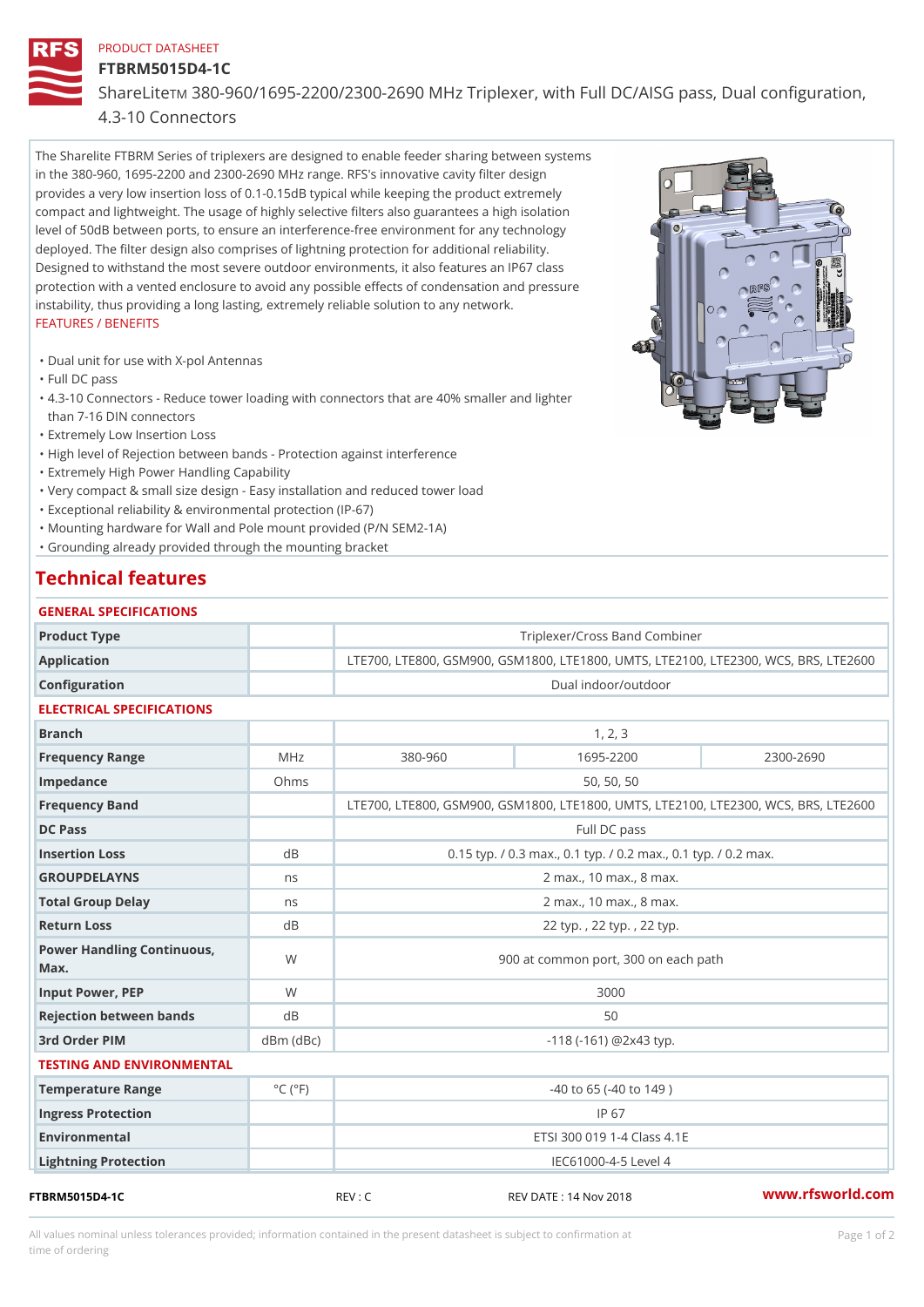### PRODUCT DATASHEET

## FTBRM5015D4-1C

Share LTM 880-960/1695-2200/2300-2690 MHz Triplexer, with Full DC/AIS

# 4.3-10 Connectors

The Sharelite FTBRM Series of triplexers are designed to enable feeder sharing between systems in the 380-960, 1695-2200 and 2300-2690 MHz range. RFS's innovative cavity filter design provides a very low insertion loss of 0.1-0.15dB typical while keeping the product extremely compact and lightweight. The usage of highly selective filters also guarantees a high isolation level of 50dB between ports, to ensure an interference-free environment for any technology deployed. The filter design also comprises of lightning protection for additional reliability. Designed to withstand the most severe outdoor environments, it also features an IP67 class protection with a vented enclosure to avoid any possible effects of condensation and pressure instability, thus providing a long lasting, extremely reliable solution to any network. FEATURES / BENEFITS

"Dual unit for use with X-pol Antennas

"Full DC pass

4.3-10 Connectors - Reduce tower loading with connectors that are 40% smaller and lighter " than 7-16 DIN connectors

"Extremely Low Insertion Loss

"High level of Rejection between bands - Protection against interference

"Extremely High Power Handling Capability

"Very compact & small size design - Easy installation and reduced tower load

"Exceptional reliability & environmental protection (IP-67)

"Mounting hardware for Wall and Pole mount provided (P/N SEM2-1A)

"Grounding already provided through the mounting bracket

# Technical features

| GENERAL SPECIFICATIONS               |                             |                                                            |               |               |  |  |  |  |  |
|--------------------------------------|-----------------------------|------------------------------------------------------------|---------------|---------------|--|--|--|--|--|
| Product Type                         |                             | Triplexer/Cross Band Combiner                              |               |               |  |  |  |  |  |
| Application                          |                             | LTE700, LTE800, GSM900, GSM1800, LTE1800, UMTS, LTE2100,   |               |               |  |  |  |  |  |
| Configuration                        |                             | Dual indoor/outdoor                                        |               |               |  |  |  |  |  |
| ELECTRICAL SPECIFICATIONS            |                             |                                                            |               |               |  |  |  |  |  |
| <b>Branch</b>                        |                             | 1, 2, 3                                                    |               |               |  |  |  |  |  |
| Frequency Range                      | MHz                         | $380 - 960$                                                | $1695 - 2200$ | $2300 - 2690$ |  |  |  |  |  |
| Impedance                            | Ohms                        | 50, 50, 50                                                 |               |               |  |  |  |  |  |
| Frequency Band                       |                             | LTE700, LTE800, GSM900, GSM1800, LTE1800, UMTS, LTE2100,   |               |               |  |  |  |  |  |
| DC Pass                              |                             | Full DC pass                                               |               |               |  |  |  |  |  |
| Insertion Loss                       | $d$ B                       | $0.15$ typ. / 0.3 max., 0.1 typ. / 0.2 max., 0.1 typ. / 0. |               |               |  |  |  |  |  |
| <b>GROUPDELAYNS</b>                  | n s                         | 2 max., 10 max., 8 max.                                    |               |               |  |  |  |  |  |
| Total Group Delay                    | n s                         | 2 max., 10 max., 8 max.                                    |               |               |  |  |  |  |  |
| Return Loss                          | d B                         | 22 typ., 22 typ., 22 typ.                                  |               |               |  |  |  |  |  |
| Power Handling Continuous, W<br>Max. |                             | 900 at common port, 300 on each path                       |               |               |  |  |  |  |  |
| Input Power, PEP                     | W                           | 3000                                                       |               |               |  |  |  |  |  |
| Rejection between bands              | d B                         | 50                                                         |               |               |  |  |  |  |  |
| 3rd Order PIM                        | $dBm$ $(dBc)$               | $-118$ ( $-161$ ) @ 2 x 4 3 typ.                           |               |               |  |  |  |  |  |
| TESTING AND ENVIRONMENTAL            |                             |                                                            |               |               |  |  |  |  |  |
| Temperature Range                    | $^{\circ}$ C ( $^{\circ}$ F | $-40$ to 65 ( $-40$ to 149)                                |               |               |  |  |  |  |  |
| Ingress Protection                   |                             | $IP$ 67                                                    |               |               |  |  |  |  |  |
| Environmental                        |                             | ETSI 300 019 1-4 Class 4.1E                                |               |               |  |  |  |  |  |
| Lightning Protection                 |                             | IEC61000-4-5 Level 4                                       |               |               |  |  |  |  |  |

All values nominal unless tolerances provided; information contained in the present datasheet is subject to Pcapgeign manation time of ordering